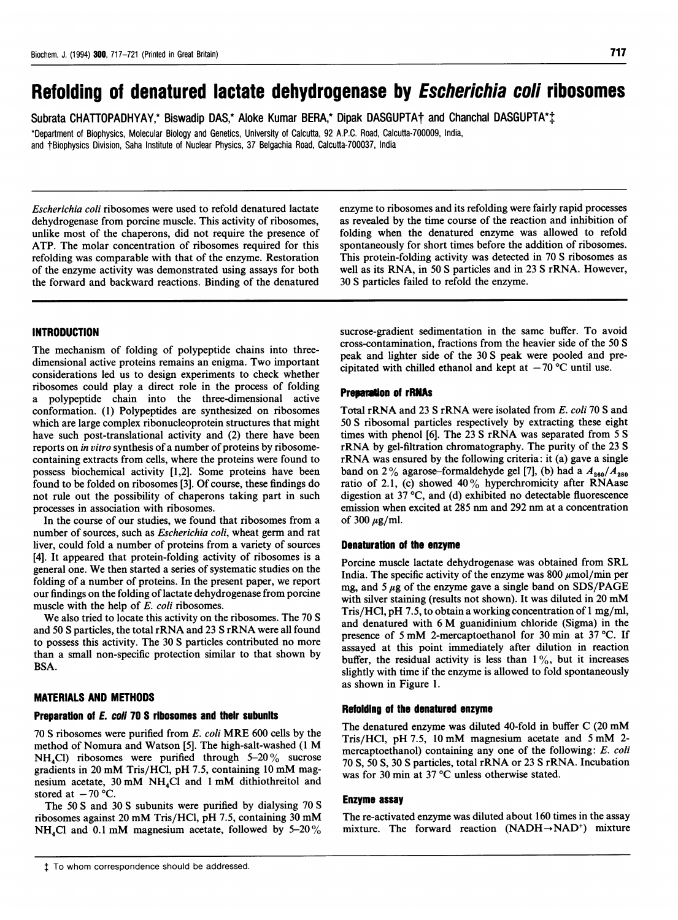# Refolding of denatured lactate dehydrogenase by Escherichia coli ribosomes

Subrata CHATTOPADHYAY,\* Biswadip DAS,\* Aloke Kumar BERA,\* Dipak DASGUPTA† and Chanchal DASGUPTA\* $\ddagger$ 

\*Department of Biophysics, Molecular Biology and Genetics, University of Calcutta, 92 A.P.C. Road, Calcutta-700009, India, and tBiophysics Division, Saha Institute of Nuclear Physics, 37 Belgachia Road, Calcutta-700037, India

Escherichia coli ribosomes were used to refold denatured lactate dehydrogenase from porcine muscle. This activity of ribosomes, unlike most of the chaperons, did not require the presence of ATP. The molar concentration of ribosomes required for this refolding was comparable with that of the enzyme. Restoration of the enzyme activity was demonstrated using assays for both the forward and backward reactions. Binding of the denatured enzyme to ribosomes and its refolding were fairly rapid processes as revealed by the time course of the reaction and inhibition of folding when the denatured enzyme was allowed to refold spontaneously for short times before the addition of ribosomes. This protein-folding activity was detected in 70 S ribosomes as well as its RNA, in 50 S particles and in 23 S rRNA. However, 30 S particles failed to refold the enzyme.

# **INTRODUCTION**

The mechanism of folding of polypeptide chains into threedimensional active proteins remains an enigma. Two important considerations led us to design experiments to check whether ribosomes could play a direct role in the process of folding a polypeptide chain into the three-dimensional active conformation. (1) Polypeptides are synthesized on ribosomes which are large complex ribonucleoprotein structures that might have such post-translational activity and (2) there have been reports on in vitro synthesis of a number of proteins by ribosomecontaining extracts from cells, where the proteins were found to possess biochemical activity [1,2]. Some proteins have been found to be folded on ribosomes [3]. Of course, these findings do not rule out the possibility of chaperons taking part in such processes in association with ribosomes.

In the course of our studies, we found that ribosomes from a number of sources, such as Escherichia coli, wheat germ and rat liver, could fold a number of proteins from a variety of sources [4]. It appeared that protein-folding activity of ribosomes is a general one. We then started <sup>a</sup> series of systematic studies on the folding of a number of proteins. In the present paper, we report our findings on the folding of lactate dehydrogenase from porcine muscle with the help of E. coli ribosomes.

We also tried to locate this activity on the ribosomes. The <sup>70</sup> S and <sup>50</sup> S particles, the total rRNA and <sup>23</sup> S rRNA were all found to possess this activity. The 30 S particles contributed no more than a small non-specific protection similar to that shown by BSA.

# MATERIALS AND METHODS

#### Preparation of E. coli 70 S ribosomes and their subunits

<sup>70</sup> <sup>S</sup> ribosomes were purified from E. coli MRE <sup>600</sup> cells by the method of Nomura and Watson [5]. The high-salt-washed (1 M  $NH<sub>4</sub>Cl$ ) ribosomes were purified through 5-20% sucrose gradients in <sup>20</sup> mM Tris/HCl, pH 7.5, containing <sup>10</sup> mM magnesium acetate, 30 mM NH<sub>4</sub>Cl and 1 mM dithiothreitol and stored at  $-70$  °C.

The 50 S and 30 S subunits were purified by dialysing 70 S ribosomes against <sup>20</sup> mM Tris/HCl, pH 7.5, containing <sup>30</sup> mM NH<sub>4</sub>Cl and 0.1 mM magnesium acetate, followed by 5-20%

 $$$  To whom correspondence should be addressed.

sucrose-gradient sedimentation in the same buffer. To avoid cross-contamination, fractions from the heavier side of the 50 S peak and lighter side of the 30 S peak were pooled and precipitated with chilled ethanol and kept at  $-70$  °C until use.

#### Preparation of rRNAs

Total rRNA and 23 S rRNA were isolated from E. coli 70 S and 50 S ribosomal particles respectively by extracting these eight times with phenol [6]. The <sup>23</sup> S rRNA was separated from <sup>5</sup> S rRNA by gel-filtration chromatography. The purity of the <sup>23</sup> S rRNA was ensured by the following criteria: it (a) gave <sup>a</sup> single band on 2% agarose-formaldehyde gel [7], (b) had a  $A_{280}/A_{280}$ ratio of 2.1, (c) showed 40% hyperchromicity after RNAase digestion at 37 °C, and (d) exhibited no detectable fluorescence emission when excited at 285 nm and 292 nm at <sup>a</sup> concentration of 300  $\mu$ g/ml.

#### Denaturation of the enzyme

Porcine muscle lactate dehydrogenase was obtained from SRL India. The specific activity of the enzyme was 800  $\mu$ mol/min per mg, and 5  $\mu$ g of the enzyme gave a single band on SDS/PAGE with silver staining (results not shown). It was diluted in <sup>20</sup> mM Tris/HCl, pH 7.5, to obtain <sup>a</sup> working concentration of <sup>1</sup> mg/ml, and denatured with <sup>6</sup> M guanidinium chloride (Sigma) in the presence of 5 mM 2-mercaptoethanol for 30 min at 37 °C. If assayed at this point immediately after dilution in reaction buffer, the residual activity is less than  $1\%$ , but it increases slightly with time if the enzyme is allowed to fold spontaneously as shown in Figure 1.

#### Refolding of the denatured enzyme

The denatured enzyme was diluted 40-fold in buffer C (20 mM Tris/HCl, pH 7.5, <sup>10</sup> mM magnesium acetate and <sup>5</sup> mM 2 mercaptoethanol) containing any one of the following: E. coli <sup>70</sup> S, <sup>50</sup> S, <sup>30</sup> S particles, total rRNA or <sup>23</sup> S rRNA. Incubation was for 30 min at 37 °C unless otherwise stated.

#### Enzyme assay

The re-activated enzyme was diluted about 160 times in the assay mixture. The forward reaction  $(NADH \rightarrow NAD^+)$  mixture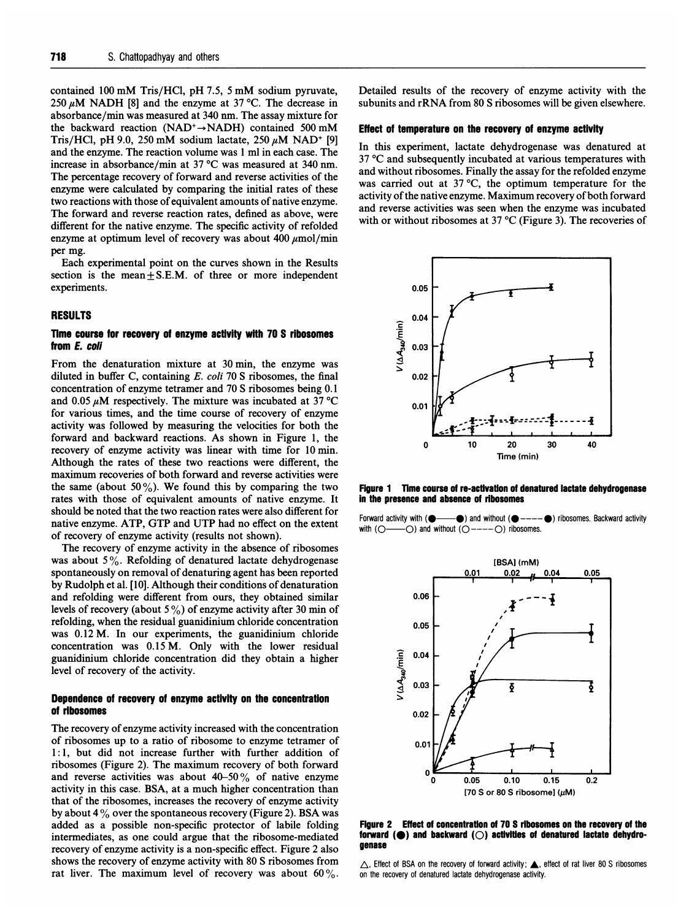contained <sup>100</sup> mM Tris/HCl, pH 7.5, <sup>5</sup> mM sodium pyruvate, 250  $\mu$ M NADH [8] and the enzyme at 37 °C. The decrease in absorbance/min was measured at 340 nm. The assay mixture for the backward reaction (NAD<sup>+</sup> $\rightarrow$ NADH) contained 500 mM Tris/HCl, pH 9.0, 250 mM sodium lactate, 250  $\mu$ M NAD<sup>+</sup> [9] and the enzyme. The reaction volume was <sup>1</sup> ml in each case. The increase in absorbance/min at 37 'C was measured at 340 nm. The percentage recovery of forward and reverse activities of the enzyme were calculated by comparing the initial rates of these two reactions with those of equivalent amounts of native enzyme. The forward and reverse reaction rates, defined as above, were different for the native enzyme. The specific activity of refolded enzyme at optimum level of recovery was about 400  $\mu$ mol/min per mg.

Each experimental point on the curves shown in the Results section is the mean $\pm$  S.E.M. of three or more independent experiments.

#### RESULTS

## Time course for recovery of enzyme activity with 70 S ribosomes from E. coli

From the denaturation mixture at 30 min, the enzyme was diluted in buffer C, containing E. coli 70 S ribosomes, the final concentration of enzyme tetramer and 70 S ribosomes being 0.1 and 0.05  $\mu$ M respectively. The mixture was incubated at 37 °C for various times, and the time course of recovery of enzyme activity was followed by measuring the velocities for both the forward and backward reactions. As shown in Figure 1, the recovery of enzyme activity was linear with time for 10 min. Although the rates of these two reactions were different, the maximum recoveries of both forward and reverse activities were the same (about 50%). We found this by comparing the two rates with those of equivalent amounts of native enzyme. It should be noted that the two reaction rates were also different for native enzyme. ATP, GTP and UTP had no effect on the extent of recovery of enzyme activity (results not shown).

The recovery of enzyme activity in the absence of ribosomes was about  $5\%$ . Refolding of denatured lactate dehydrogenase spontaneously on removal of denaturing agent has been reported by Rudolph et al. [10]. Although their conditions of denaturation and refolding were different from ours, they obtained similar levels of recovery (about  $5\%$ ) of enzyme activity after 30 min of refolding, when the residual guanidinium chloride concentration was 0.12 M. In our experiments, the guanidinium chloride concentration was 0.15 M. Only with the lower residual guanidinium chloride concentration did they obtain a higher level of recovery of the activity.

## Dependence of recovery of enzyme activity on the concentration of ribosomes

The recovery of enzyme activity increased with the concentration of ribosomes up to a ratio of ribosome to enzyme tetramer of 1.1, but did not increase further additional methods increase function of  $\frac{d}{dx}$  and  $\frac{d}{dx}$  of  $\frac{d}{dx}$  and  $\frac{d}{dx}$  of  $\frac{d}{dx}$  and  $\frac{d}{dx}$  of  $\frac{d}{dx}$  and  $\frac{d}{dx}$  and  $\frac{d}{dx}$  and  $\frac{d}{dx}$  and  $\frac{d}{dx}$  a 1.1, but the mot increase further with further addition of  $\frac{1}{n}$ ribosomes (Figure 2). The maximum recovery of both forward and reverse activities was about  $40-50\%$  of native enzyme activity in this case. BSA, at a much higher concentration than that of the ribosomes, increases the recovery of enzyme activity<br>by about 4 % over the spontaneous recovery (Figure 2). BSA was by about  $4\%$  over the spontaneous recovery (Figure 2). BSA was added as a possible non-specific protector of labile folding intermediates, as one could argue that the ribosome-mediated  $r_{\text{redu}}$  of  $r_{\text{redu}}$  and  $r_{\text{redu}}$  is a non-specific effect. Figure 2 also shows the recovery of enzyme activity is a non-specific check. Figure 2 also shows the recovery of enzyme activity with 80 S ribosomes from rat liver. The maximum level of recovery was about 60%.

Detailed results of the recovery of enzyme activity with the subunits and rRNA from <sup>80</sup> S ribosomes will be given elsewhere.

## Effect of temperature on the recovery of enzyme activity

In this experiment, lactate dehydrogenase was denatured at 37 °C and subsequently incubated at various temperatures with and without ribosomes. Finally the assay for the refolded enzyme was carried out at  $37^{\circ}$ C, the optimum temperature for the activity of the native enzyme. Maximum recovery of both forward and reverse activities was seen when the enzyme was incubated with or without ribosomes at 37 °C (Figure 3). The recoveries of



Figure <sup>1</sup> Time course of re-activation of denatured lactate dehydrogenase in the presence and absence of ribosomes

Forward activity with  $($   $\bullet$  --- $\bullet$  $)$  and without  $($   $\bullet$  ---- $\bullet$  $)$  ribosomes. Backward activity with  $(O \longrightarrow O)$  and without  $(O \longrightarrow O)$  ribosomes.



 $\mathbf{F}$   $\mathbf{F}$   $\mathbf{F}$   $\mathbf{F}$   $\mathbf{F}$   $\mathbf{F}$   $\mathbf{F}$  recovery of the recovery of the recovery of the recovery of the recovery of the recovery of the recovery of the recovery of the recovery of the recovery of th forward (0) and backward (0) activiffes of denatured lactate dehydroforward  $(\bigodot)$  and backward  $(\bigcirc)$  activities of denatured lactate dehydro-<br>genase

 $\triangle$ , Effect of BSA on the recovery of forward activity;  $\triangle$ , effect of rat liver 80 S ribosomes on the recovery of denatured lactate dehydrogenase activity.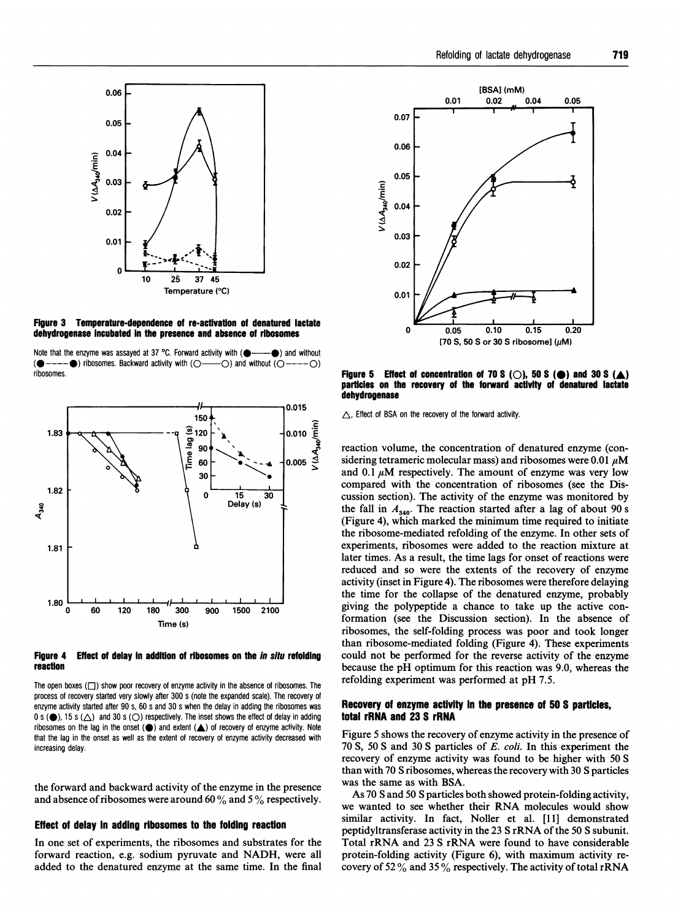



Note that the enzyme was assayed at 37 °C. Forward activity with  $($   $\bullet$   $\bullet$   $\bullet$  and without  $($  $\bullet$  ---- $\bullet$ ) ribosomes. Backward activity with  $(O$ ---- $O)$  and without  $(O$ ---- $O)$ ribosomes.



#### Figure 4 Effect of delay in addition of ribosomes on the in situ refolding reaction

The open boxes  $(\square)$  show poor recovery of enzyme activity in the absence of ribosomes. The process of recovery started very slowly after 300 s (note the expanded scale). The recovery of enzyme activity started after 90 s, 60 s and 30 s when the delay in adding the ribosomes was 0 s ( $\bigcirc$ ), 15 s ( $\triangle$ ) and 30 s ( $\bigcirc$ ) respectively. The inset shows the effect of delay in adding ribosomes on the lag in the onset  $($ a) and extent  $($  $\blacktriangle)$  of recovery of enzyme activity. Note that the lag in the onset as well as the extent of recovery of enzyme activity decreased with increasing delay.

the forward and backward activity of the enzyme in the presence and absence of ribosomes were around 60  $\%$  and 5  $\%$  respectively.

#### Effect of delay in adding ribosomes to the folding reaction

In one set of experiments, the ribosomes and substrates for the forward reaction, e.g. sodium pyruvate and NADH, were all added to the denatured enzyme at the same time. In the final



Figure 5 Effect of concentration of 70 S ( $\bigcirc$ ), 50 S ( $\bigcirc$ ) and 30 S ( $\bigtriangleup$ ) particles on the recovery of the forward activity of denatured lactate dehydrogenase

 $\triangle$ , Effect of BSA on the recovery of the forward activity.

reaction volume, the concentration of denatured enzyme (considering tetrameric molecular mass) and ribosomes were 0.01  $\mu$ M and 0.1  $\mu$ M respectively. The amount of enzyme was very low compared with the concentration of ribosomes (see the Discussion section). The activity of the enzyme was monitored by the fall in  $A_{340}$ . The reaction started after a lag of about 90 s (Figure 4), which marked the minimum time required to initiate the ribosome-mediated refolding of the enzyme. In other sets of experiments, ribosomes were added to the reaction mixture at later times. As a result, the time lags for onset of reactions were reduced and so were the extents of the recovery of enzyme activity (inset in Figure 4). The ribosomes were therefore delaying the time for the collapse of the denatured enzyme, probably giving the polypeptide a chance to take up the active conformation (see the Discussion section). In the absence of ribosomes, the self-folding process was poor and took longer than ribosome-mediated folding (Figure 4). These experiments could not be performed for the reverse activity of the enzyme because the pH optimum for this reaction was 9.0, whereas the refolding experiment was performed at pH 7.5.

#### Recovery of enzyme activity in the presence of 50 S particles, total rRNA and 23 S rRNA

Figure 5 shows the recovery of enzyme activity in the presence of 70 S, 50 S and 30 S particles of E. coli. In this experiment the recovery of enzyme activity was found to be higher with 50 S than with 70 S ribosomes, whereas the recovery with 30 S particles was the same as with BSA.

As 70 S and 50 S particles both showed protein-folding activity, we wanted to see whether their RNA molecules would show similar activity. In fact, Noller et al. [11] demonstrated peptidyltransferase activity in the <sup>23</sup> S rRNA of the <sup>50</sup> <sup>S</sup> subunit. Total rRNA and <sup>23</sup> S rRNA were found to have considerable protein-folding activity (Figure 6), with maximum activity recovery of 52  $\%$  and 35  $\%$  respectively. The activity of total rRNA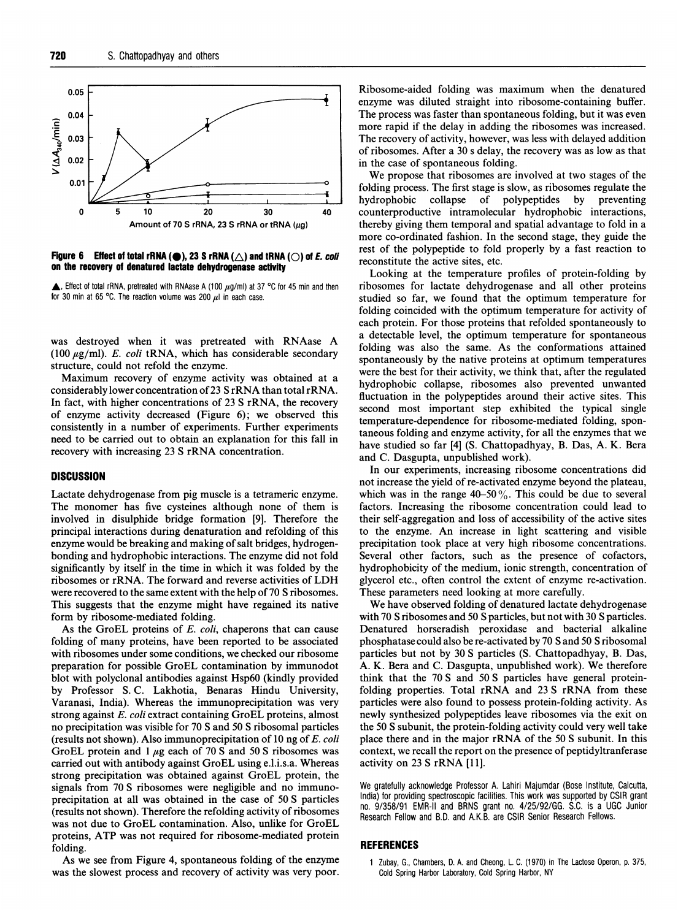

#### Figure 6 Effect of total rRNA ( $\bigcirc$ ), 23 S rRNA ( $\bigtriangleup$ ) and tRNA ( $\bigcirc$ ) of *E. coli* on the recovery of denatured lactate dehydrogenase activity

 $\triangle$ , Effect of total rRNA, pretreated with RNAase A (100  $\mu$ g/ml) at 37 °C for 45 min and then for 30 min at 65 °C. The reaction volume was 200  $\mu$ l in each case.

was destroyed when it was pretreated with RNAase A (100  $\mu$ g/ml). E. coli tRNA, which has considerable secondary structure, could not refold the enzyme.

Maximum recovery of enzyme activity was obtained at a considerably lower concentration of<sup>23</sup> S rRNA than total rRNA. In fact, with higher concentrations of 23 S rRNA, the recovery of enzyme activity decreased (Figure 6); we observed this consistently in a number of experiments. Further experiments need to be carried out to obtain an explanation for this fall in recovery with increasing <sup>23</sup> S rRNA concentration.

# **DISCUSSION**

Lactate dehydrogenase from pig muscle is a tetrameric enzyme. The monomer has five cysteines although none of them is involved in disulphide bridge formation [9]. Therefore the principal interactions during denaturation and refolding of this enzyme would be breaking and making of salt bridges, hydrogenbonding and hydrophobic interactions. The enzyme did not fold significantly by itself in the time in which it was folded by the ribosomes or rRNA. The forward and reverse activities of LDH were recovered to the same extent with the help of 70 S ribosomes. This suggests that the enzyme might have regained its native form by ribosome-mediated folding.

As the GroEL proteins of E. coli, chaperons that can cause folding of many proteins, have been reported to be associated with ribosomes under some conditions, we checked our ribosome preparation for possible GroEL contamination by immunodot blot with polyclonal antibodies against Hsp6O (kindly provided by Professor S. C. Lakhotia, Benaras Hindu University, Varanasi, India). Whereas the immunoprecipitation was very strong against E. coli extract containing GroEL proteins, almost no precipitation was visible for 70 S and 50 S ribosomal particles (results not shown). Also immunoprecipitation of 10 ng of E. coli GroEL protein and  $1 \mu$ g each of 70 S and 50 S ribosomes was carried out with antibody against GroEL using e.l.i.s.a. Whereas strong precipitation was obtained against GroEL protein, the signals from 70 S ribosomes were negligible and no immunoprecipitation at all was obtained in the case of 50 S particles (results not shown). Therefore the refolding activity of ribosomes was not due to GroEL contamination. Also, unlike for GroEL proteins, ATP was not required for ribosome-mediated protein folding.

As we see from Figure 4, spontaneous folding of the enzyme was the slowest process and recovery of activity was very poor. Cold Spring Harbor Laboratory, Cold Spring Harbor, NY

Ribosome-aided folding was maximum when the denatured enzyme was diluted straight into ribosome-containing buffer. The process was faster than spontaneous folding, but it was even more rapid if the delay in adding the ribosomes was increased. The recovery of activity, however, was less with delayed addition of ribosomes. After a 30 <sup>s</sup> delay, the recovery was as low as that in the case of spontaneous folding.

We propose that ribosomes are involved at two stages of the folding process. The first stage is slow, as ribosomes regulate the hydrophobic collapse of polypeptides by preventing counterproductive intramolecular hydrophobic interactions, thereby giving them temporal and spatial advantage to fold in a more co-ordinated fashion. In the second stage, they guide the rest of the polypeptide to fold properly by a fast reaction to reconstitute the active sites, etc.

Looking at the temperature profiles of protein-folding by ribosomes for lactate dehydrogenase and all other proteins studied so far, we found that the optimum temperature for folding coincided with the optimum temperature for activity of each protein. For those proteins that refolded spontaneously to a detectable level, the optimum temperature for spontaneous folding was also the same. As the conformations attained spontaneously by the native proteins at optimum temperatures were the best for their activity, we think that, after the regulated hydrophobic collapse, ribosomes also prevented unwanted fluctuation in the polypeptides around their active sites. This second most important step exhibited the typical single temperature-dependence for ribosome-mediated folding, spontaneous folding and enzyme activity, for all the enzymes that we have studied so far [4] (S. Chattopadhyay, B. Das, A. K. Bera and C. Dasgupta, unpublished work).

In our experiments, increasing ribosome concentrations did not increase the yield of re-activated enzyme beyond the plateau, which was in the range  $40-50\%$ . This could be due to several factors. Increasing the ribosome concentration could lead to their self-aggregation and loss of accessibility of the active sites to the enzyme. An increase in light scattering and visible precipitation took place at very high ribosome concentrations. Several other factors, such as the presence of cofactors, hydrophobicity of the medium, ionic strength, concentration of glycerol etc., often control the extent of enzyme re-activation. These parameters need looking at more carefully.

We have observed folding of denatured lactate dehydrogenase with 70 S ribosomes and 50 S particles, but not with 30 S particles. Denatured horseradish peroxidase and bacterial alkaline phosphatase could also be re-activated by 70 Sand 50 S ribosomal particles but not by 30 S particles (S. Chattopadhyay, B. Das, A. K. Bera and C. Dasgupta, unpublished work). We therefore think that the 70 S and 50 S particles have general proteinfolding properties. Total rRNA and <sup>23</sup> S rRNA from these particles were also found to possess protein-folding activity. As newly synthesized polypeptides leave ribosomes via the exit on the 50 S subunit, the protein-folding activity could very well take place there and in the major rRNA of the <sup>50</sup> S subunit. In this context, we recall the report on the presence of peptidyltranferase activity on <sup>23</sup> S rRNA [11].

We gratefully acknowledge Professor A. Lahiri Majumdar (Bose Institute, Calcutta, India) for providing spectroscopic facilities. This work was supported by CSIR grant no. 9/358/91 EMR-11 and BRNS grant no. 4/25/92/GG. S.C. is a UGC Junior Research Fellow and B.D. and A.K.B. are CSIR Senior Research Fellows.

## REFERENCES

<sup>1</sup> Zubay, G., Chambers, D. A. and Cheong, L. C. (1970) in The Lactose Operon, p. 375,